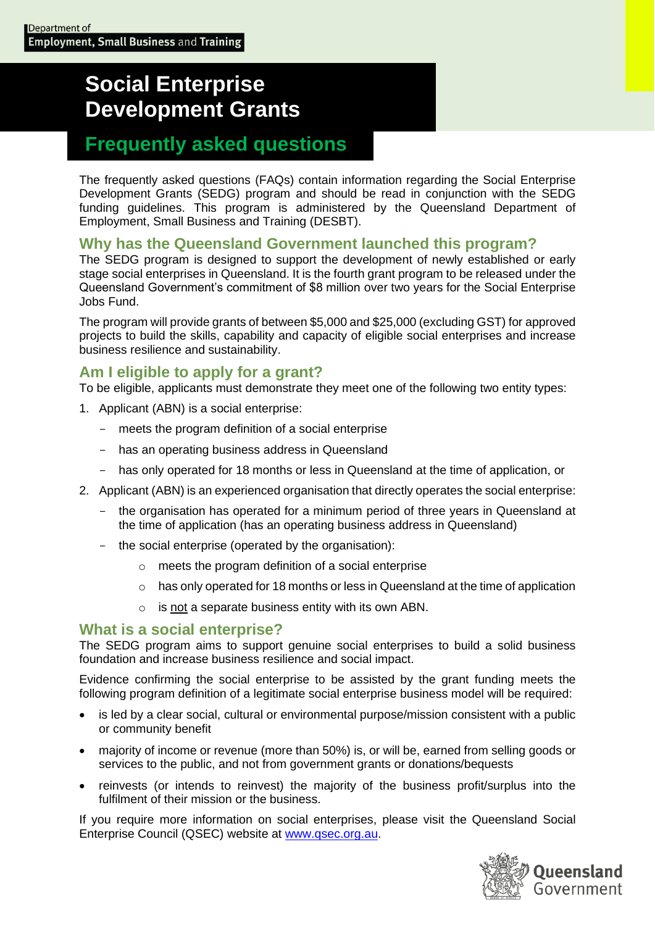# **Social Enterprise Development Grants**

## **Frequently asked questions**

The frequently asked questions (FAQs) contain information regarding the Social Enterprise Development Grants (SEDG) program and should be read in conjunction with the SEDG funding guidelines. This program is administered by the Queensland Department of Employment, Small Business and Training (DESBT).

## **Why has the Queensland Government launched this program?**

The SEDG program is designed to support the development of newly established or early stage social enterprises in Queensland. It is the fourth grant program to be released under the Queensland Government's commitment of \$8 million over two years for the Social Enterprise Jobs Fund.

The program will provide grants of between \$5,000 and \$25,000 (excluding GST) for approved projects to build the skills, capability and capacity of eligible social enterprises and increase business resilience and sustainability.

## **Am I eligible to apply for a grant?**

To be eligible, applicants must demonstrate they meet one of the following two entity types:

- 1. Applicant (ABN) is a social enterprise:
	- meets the program definition of a social enterprise
	- has an operating business address in Queensland
	- has only operated for 18 months or less in Queensland at the time of application, or
- 2. Applicant (ABN) is an experienced organisation that directly operates the social enterprise:
	- the organisation has operated for a minimum period of three years in Queensland at the time of application (has an operating business address in Queensland)
	- the social enterprise (operated by the organisation):
		- o meets the program definition of a social enterprise
		- $\circ$  has only operated for 18 months or less in Queensland at the time of application
		- o is not a separate business entity with its own ABN.

#### **What is a social enterprise?**

The SEDG program aims to support genuine social enterprises to build a solid business foundation and increase business resilience and social impact.

Evidence confirming the social enterprise to be assisted by the grant funding meets the following program definition of a legitimate social enterprise business model will be required:

- is led by a clear social, cultural or environmental purpose/mission consistent with a public or community benefit
- majority of income or revenue (more than 50%) is, or will be, earned from selling goods or services to the public, and not from government grants or donations/bequests
- reinvests (or intends to reinvest) the majority of the business profit/surplus into the fulfilment of their mission or the business.

If you require more information on social enterprises, please visit the Queensland Social Enterprise Council (QSEC) website at [www.qsec.org.au.](http://www.qsec.org.au/)

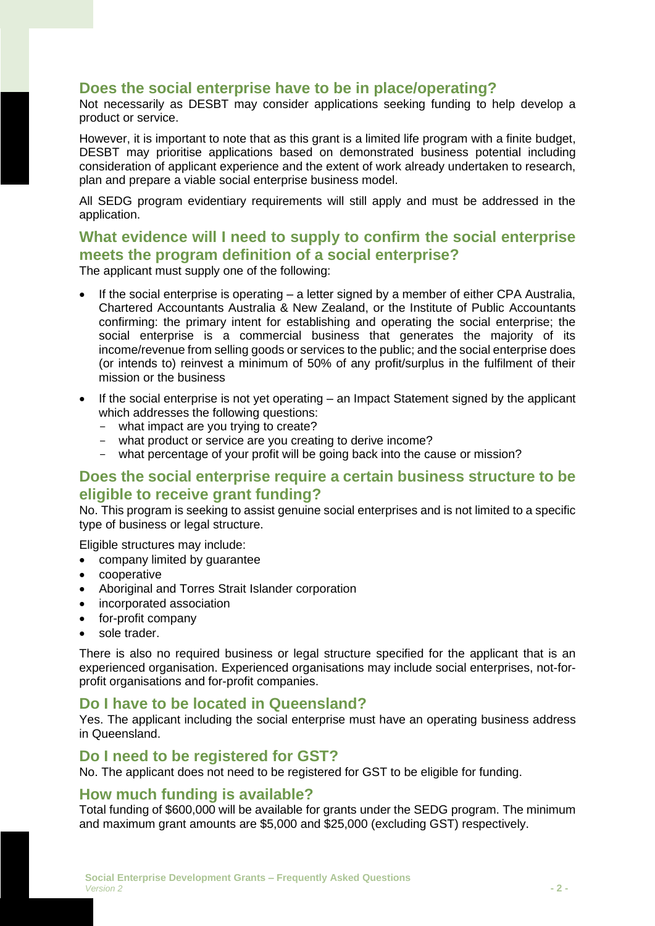## **Does the social enterprise have to be in place/operating?**

Not necessarily as DESBT may consider applications seeking funding to help develop a product or service.

However, it is important to note that as this grant is a limited life program with a finite budget, DESBT may prioritise applications based on demonstrated business potential including consideration of applicant experience and the extent of work already undertaken to research, plan and prepare a viable social enterprise business model.

All SEDG program evidentiary requirements will still apply and must be addressed in the application.

## **What evidence will I need to supply to confirm the social enterprise meets the program definition of a social enterprise?**

The applicant must supply one of the following:

- If the social enterprise is operating  $-$  a letter signed by a member of either CPA Australia, Chartered Accountants Australia & New Zealand, or the Institute of Public Accountants confirming: the primary intent for establishing and operating the social enterprise; the social enterprise is a commercial business that generates the majority of its income/revenue from selling goods or services to the public; and the social enterprise does (or intends to) reinvest a minimum of 50% of any profit/surplus in the fulfilment of their mission or the business
- If the social enterprise is not yet operating an Impact Statement signed by the applicant which addresses the following questions:
	- what impact are you trying to create?
	- what product or service are you creating to derive income?
	- what percentage of your profit will be going back into the cause or mission?

#### **Does the social enterprise require a certain business structure to be eligible to receive grant funding?**

No. This program is seeking to assist genuine social enterprises and is not limited to a specific type of business or legal structure.

Eligible structures may include:

- company limited by guarantee
- cooperative
- Aboriginal and Torres Strait Islander corporation
- incorporated association
- for-profit company
- sole trader.

There is also no required business or legal structure specified for the applicant that is an experienced organisation. Experienced organisations may include social enterprises, not-forprofit organisations and for-profit companies.

#### **Do I have to be located in Queensland?**

Yes. The applicant including the social enterprise must have an operating business address in Queensland.

#### **Do I need to be registered for GST?**

No. The applicant does not need to be registered for GST to be eligible for funding.

#### **How much funding is available?**

Total funding of \$600,000 will be available for grants under the SEDG program. The minimum and maximum grant amounts are \$5,000 and \$25,000 (excluding GST) respectively.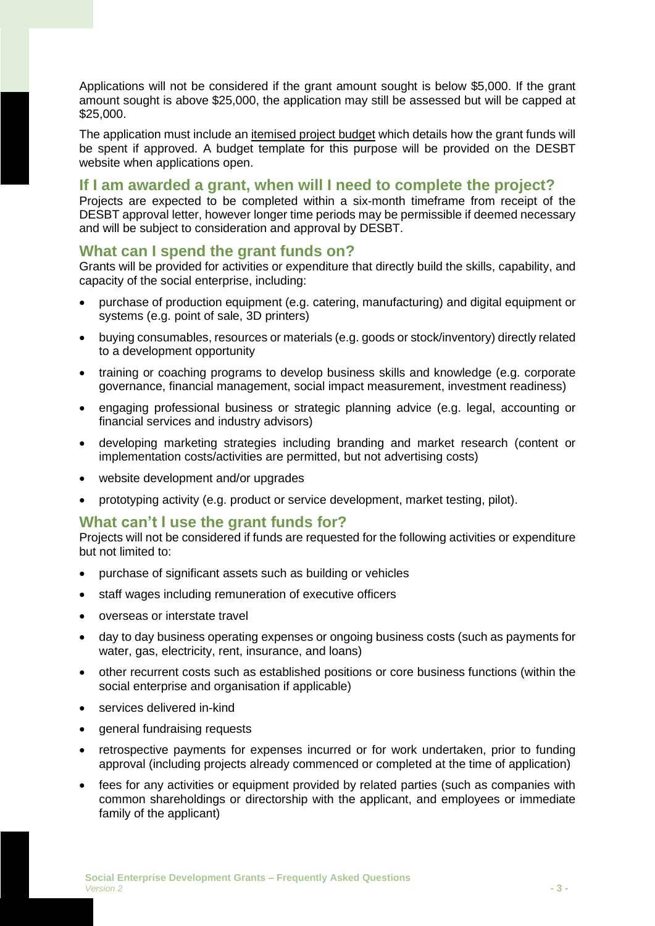Applications will not be considered if the grant amount sought is below \$5,000. If the grant amount sought is above \$25,000, the application may still be assessed but will be capped at \$25,000.

The application must include an itemised project budget which details how the grant funds will be spent if approved. A budget template for this purpose will be provided on the DESBT website when applications open.

#### **If I am awarded a grant, when will I need to complete the project?**

Projects are expected to be completed within a six-month timeframe from receipt of the DESBT approval letter, however longer time periods may be permissible if deemed necessary and will be subject to consideration and approval by DESBT.

#### **What can I spend the grant funds on?**

Grants will be provided for activities or expenditure that directly build the skills, capability, and capacity of the social enterprise, including:

- purchase of production equipment (e.g. catering, manufacturing) and digital equipment or systems (e.g. point of sale, 3D printers)
- buying consumables, resources or materials (e.g. goods or stock/inventory) directly related to a development opportunity
- training or coaching programs to develop business skills and knowledge (e.g. corporate governance, financial management, social impact measurement, investment readiness)
- engaging professional business or strategic planning advice (e.g. legal, accounting or financial services and industry advisors)
- developing marketing strategies including branding and market research (content or implementation costs/activities are permitted, but not advertising costs)
- website development and/or upgrades
- prototyping activity (e.g. product or service development, market testing, pilot).

#### **What can't I use the grant funds for?**

Projects will not be considered if funds are requested for the following activities or expenditure but not limited to:

- purchase of significant assets such as building or vehicles
- staff wages including remuneration of executive officers
- overseas or interstate travel
- day to day business operating expenses or ongoing business costs (such as payments for water, gas, electricity, rent, insurance, and loans)
- other recurrent costs such as established positions or core business functions (within the social enterprise and organisation if applicable)
- services delivered in-kind
- general fundraising requests
- retrospective payments for expenses incurred or for work undertaken, prior to funding approval (including projects already commenced or completed at the time of application)
- fees for any activities or equipment provided by related parties (such as companies with common shareholdings or directorship with the applicant, and employees or immediate family of the applicant)